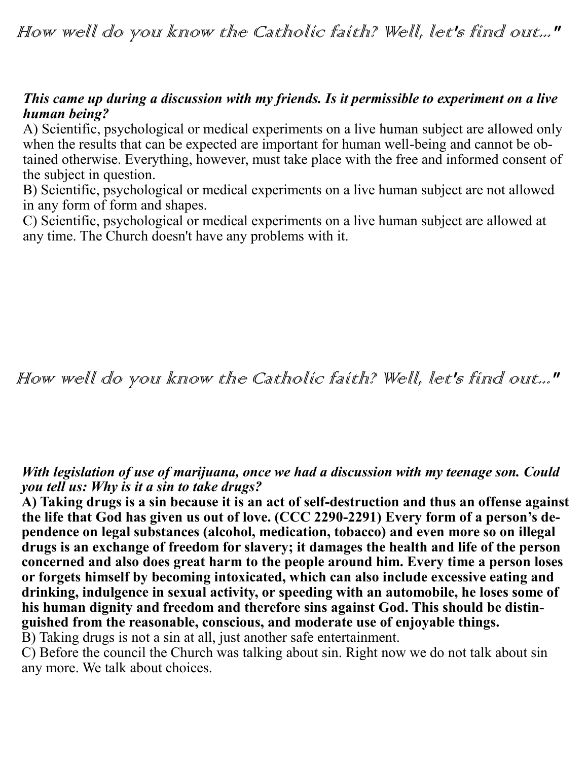How well do you know the Catholic faith? Well, let's find out..."

## *This came up during a discussion with my friends. Is it permissible to experiment on a live human being?*

A) Scientific, psychological or medical experiments on a live human subject are allowed only when the results that can be expected are important for human well-being and cannot be obtained otherwise. Everything, however, must take place with the free and informed consent of the subject in question.

B) Scientific, psychological or medical experiments on a live human subject are not allowed in any form of form and shapes.

C) Scientific, psychological or medical experiments on a live human subject are allowed at any time. The Church doesn't have any problems with it.

How well do you know the Catholic faith? Well, let's find out..."

## *With legislation of use of marijuana, once we had a discussion with my teenage son. Could you tell us: Why is it a sin to take drugs?*

**A) Taking drugs is a sin because it is an act of self-destruction and thus an offense against the life that God has given us out of love. (CCC 2290-2291) Every form of a person's dependence on legal substances (alcohol, medication, tobacco) and even more so on illegal drugs is an exchange of freedom for slavery; it damages the health and life of the person concerned and also does great harm to the people around him. Every time a person loses or forgets himself by becoming intoxicated, which can also include excessive eating and drinking, indulgence in sexual activity, or speeding with an automobile, he loses some of his human dignity and freedom and therefore sins against God. This should be distinguished from the reasonable, conscious, and moderate use of enjoyable things.** 

B) Taking drugs is not a sin at all, just another safe entertainment.

C) Before the council the Church was talking about sin. Right now we do not talk about sin any more. We talk about choices.